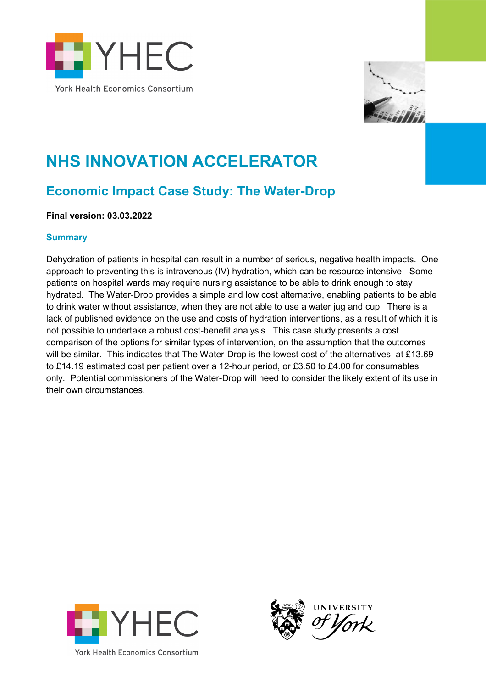



# **NHS INNOVATION ACCELERATOR**

# **Economic Impact Case Study: The Water-Drop**

**Final version: 03.03.2022**

#### **Summary**

Dehydration of patients in hospital can result in a number of serious, negative health impacts. One approach to preventing this is intravenous (IV) hydration, which can be resource intensive. Some patients on hospital wards may require nursing assistance to be able to drink enough to stay hydrated. The Water-Drop provides a simple and low cost alternative, enabling patients to be able to drink water without assistance, when they are not able to use a water jug and cup. There is a lack of published evidence on the use and costs of hydration interventions, as a result of which it is not possible to undertake a robust cost-benefit analysis. This case study presents a cost comparison of the options for similar types of intervention, on the assumption that the outcomes will be similar. This indicates that The Water-Drop is the lowest cost of the alternatives, at £13.69 to £14.19 estimated cost per patient over a 12-hour period, or £3.50 to £4.00 for consumables only. Potential commissioners of the Water-Drop will need to consider the likely extent of its use in their own circumstances.



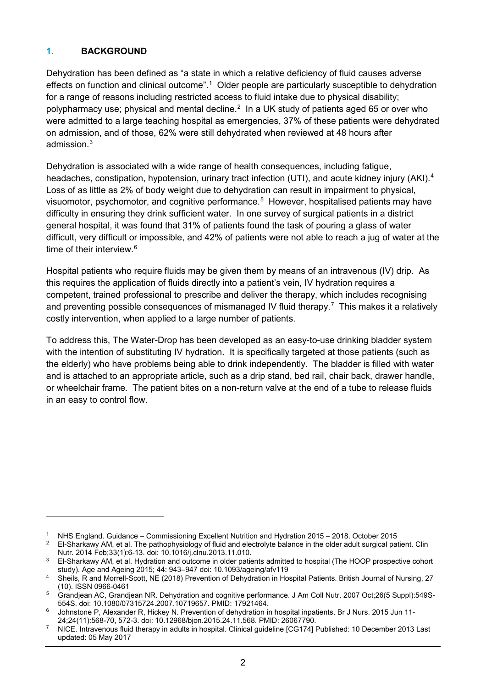## **1. BACKGROUND**

-

Dehydration has been defined as "a state in which a relative deficiency of fluid causes adverse effects on function and clinical outcome".[1](#page-1-0) Older people are particularly susceptible to dehydration for a range of reasons including restricted access to fluid intake due to physical disability; polypharmacy use; physical and mental decline. $<sup>2</sup>$  $<sup>2</sup>$  $<sup>2</sup>$  In a UK study of patients aged 65 or over who</sup> were admitted to a large teaching hospital as emergencies, 37% of these patients were dehydrated on admission, and of those, 62% were still dehydrated when reviewed at 48 hours after admission.[3](#page-1-2)

Dehydration is associated with a wide range of health consequences, including fatigue, headaches, constipation, hypotension, urinary tract infection (UTI), and acute kidney injury (AKI).<sup>[4](#page-1-3)</sup> Loss of as little as 2% of body weight due to dehydration can result in impairment to physical, visuomotor, psychomotor, and cognitive performance. [5](#page-1-4) However, hospitalised patients may have difficulty in ensuring they drink sufficient water. In one survey of surgical patients in a district general hospital, it was found that 31% of patients found the task of pouring a glass of water difficult, very difficult or impossible, and 42% of patients were not able to reach a jug of water at the time of their interview. [6](#page-1-5)

Hospital patients who require fluids may be given them by means of an intravenous (IV) drip. As this requires the application of fluids directly into a patient's vein, IV hydration requires a competent, trained professional to prescribe and deliver the therapy, which includes recognising and preventing possible consequences of mismanaged IV fluid therapy. $^7\,$  $^7\,$  $^7\,$  This makes it a relatively costly intervention, when applied to a large number of patients.

To address this, The Water-Drop has been developed as an easy-to-use drinking bladder system with the intention of substituting IV hydration. It is specifically targeted at those patients (such as the elderly) who have problems being able to drink independently. The bladder is filled with water and is attached to an appropriate article, such as a drip stand, bed rail, chair back, drawer handle, or wheelchair frame. The patient bites on a non-return valve at the end of a tube to release fluids in an easy to control flow.

<span id="page-1-0"></span><sup>1</sup> NHS England. Guidance – Commissioning Excellent Nutrition and Hydration 2015 – 2018. October 2015

<span id="page-1-1"></span><sup>&</sup>lt;sup>2</sup> El-Sharkawy AM, et al. The pathophysiology of fluid and electrolyte balance in the older adult surgical patient. Clin Nutr. 2014 Feb;33(1):6-13. doi: 10.1016/j.clnu.2013.11.010.

<span id="page-1-2"></span><sup>&</sup>lt;sup>3</sup> El-Sharkawy AM, et al. Hydration and outcome in older patients admitted to hospital (The HOOP prospective cohort study). Age and Ageing 2015; 44: 943–947 doi: 10.1093/ageing/afv119

<span id="page-1-3"></span><sup>4</sup> Sheils, R and Morrell-Scott, NE (2018) Prevention of Dehydration in Hospital Patients. British Journal of Nursing, 27 (10). ISSN 0966-0461

<span id="page-1-4"></span><sup>5</sup> Grandjean AC, Grandjean NR. Dehydration and cognitive performance. J Am Coll Nutr. 2007 Oct;26(5 Suppl):549S-554S. doi: 10.1080/07315724.2007.10719657. PMID: 17921464.

<span id="page-1-5"></span>Johnstone P, Alexander R, Hickey N. Prevention of dehydration in hospital inpatients. Br J Nurs. 2015 Jun 11-24;24(11):568-70, 572-3. doi: 10.12968/bjon.2015.24.11.568. PMID: 26067790.

<span id="page-1-6"></span><sup>7</sup> NICE. Intravenous fluid therapy in adults in hospital. Clinical guideline [CG174] Published: 10 December 2013 Last updated: 05 May 2017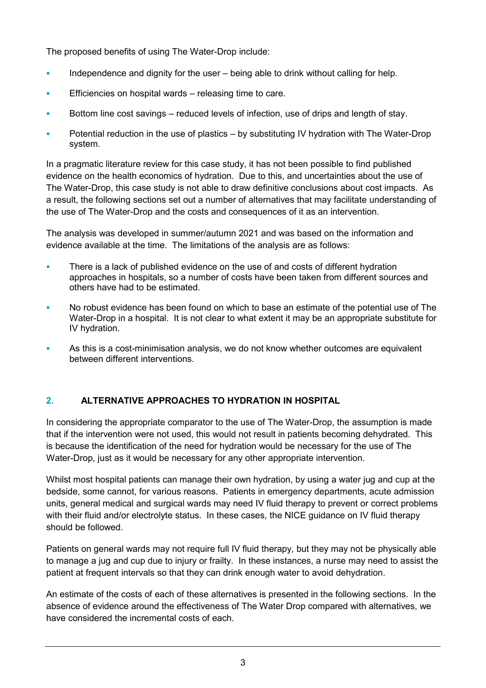The proposed benefits of using The Water-Drop include:

- Independence and dignity for the user  $-$  being able to drink without calling for help.
- **Efficiencies on hospital wards releasing time to care.**
- Bottom line cost savings reduced levels of infection, use of drips and length of stay.
- Potential reduction in the use of plastics by substituting IV hydration with The Water-Drop system.

In a pragmatic literature review for this case study, it has not been possible to find published evidence on the health economics of hydration. Due to this, and uncertainties about the use of The Water-Drop, this case study is not able to draw definitive conclusions about cost impacts. As a result, the following sections set out a number of alternatives that may facilitate understanding of the use of The Water-Drop and the costs and consequences of it as an intervention.

The analysis was developed in summer/autumn 2021 and was based on the information and evidence available at the time. The limitations of the analysis are as follows:

- **There is a lack of published evidence on the use of and costs of different hydration** approaches in hospitals, so a number of costs have been taken from different sources and others have had to be estimated.
- No robust evidence has been found on which to base an estimate of the potential use of The Water-Drop in a hospital. It is not clear to what extent it may be an appropriate substitute for IV hydration.
- As this is a cost-minimisation analysis, we do not know whether outcomes are equivalent between different interventions.

# **2. ALTERNATIVE APPROACHES TO HYDRATION IN HOSPITAL**

In considering the appropriate comparator to the use of The Water-Drop, the assumption is made that if the intervention were not used, this would not result in patients becoming dehydrated. This is because the identification of the need for hydration would be necessary for the use of The Water-Drop, just as it would be necessary for any other appropriate intervention.

Whilst most hospital patients can manage their own hydration, by using a water jug and cup at the bedside, some cannot, for various reasons. Patients in emergency departments, acute admission units, general medical and surgical wards may need IV fluid therapy to prevent or correct problems with their fluid and/or electrolyte status. In these cases, the NICE quidance on IV fluid therapy should be followed.

Patients on general wards may not require full IV fluid therapy, but they may not be physically able to manage a jug and cup due to injury or frailty. In these instances, a nurse may need to assist the patient at frequent intervals so that they can drink enough water to avoid dehydration.

An estimate of the costs of each of these alternatives is presented in the following sections. In the absence of evidence around the effectiveness of The Water Drop compared with alternatives, we have considered the incremental costs of each.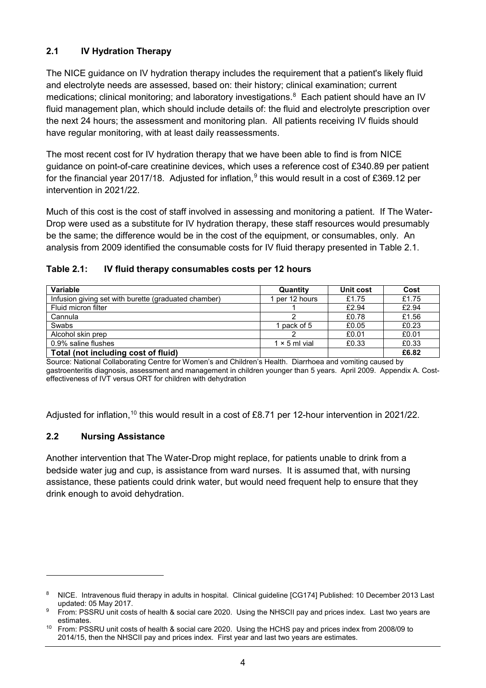# **2.1 IV Hydration Therapy**

The NICE guidance on IV hydration therapy includes the requirement that a patient's likely fluid and electrolyte needs are assessed, based on: their history; clinical examination; current medications; clinical monitoring; and laboratory investigations. [8](#page-3-0) Each patient should have an IV fluid management plan, which should include details of: the fluid and electrolyte prescription over the next 24 hours; the assessment and monitoring plan. All patients receiving IV fluids should have regular monitoring, with at least daily reassessments.

The most recent cost for IV hydration therapy that we have been able to find is from NICE guidance on point-of-care creatinine devices, which uses a reference cost of £340.89 per patient for the financial year 2017/18. Adjusted for inflation,<sup>[9](#page-3-1)</sup> this would result in a cost of £369.12 per intervention in 2021/22.

Much of this cost is the cost of staff involved in assessing and monitoring a patient. If The Water-Drop were used as a substitute for IV hydration therapy, these staff resources would presumably be the same; the difference would be in the cost of the equipment, or consumables, only. An analysis from 2009 identified the consumable costs for IV fluid therapy presented in Table 2.1.

#### **Table 2.1: IV fluid therapy consumables costs per 12 hours**

| Variable                                             | Quantity             | Unit cost | Cost  |
|------------------------------------------------------|----------------------|-----------|-------|
| Infusion giving set with burette (graduated chamber) | per 12 hours         | £1.75     | £1.75 |
| Fluid micron filter                                  |                      | £2.94     | £2.94 |
| Cannula                                              |                      | £0.78     | £1.56 |
| Swabs                                                | pack of 5            | £0.05     | £0.23 |
| Alcohol skin prep                                    |                      | £0.01     | £0.01 |
| 0.9% saline flushes                                  | $1 \times 5$ ml vial | £0.33     | £0.33 |
| Total (not including cost of fluid)                  |                      |           | £6.82 |

Source: National Collaborating Centre for Women's and Children's Health. Diarrhoea and vomiting caused by gastroenteritis diagnosis, assessment and management in children younger than 5 years. April 2009. Appendix A. Costeffectiveness of IVT versus ORT for children with dehydration

Adjusted for inflation,<sup>[10](#page-3-2)</sup> this would result in a cost of £8.71 per 12-hour intervention in 2021/22.

# **2.2 Nursing Assistance**

-

Another intervention that The Water-Drop might replace, for patients unable to drink from a bedside water jug and cup, is assistance from ward nurses. It is assumed that, with nursing assistance, these patients could drink water, but would need frequent help to ensure that they drink enough to avoid dehydration.

<span id="page-3-0"></span><sup>&</sup>lt;sup>8</sup> NICE. Intravenous fluid therapy in adults in hospital. Clinical guideline [CG174] Published: 10 December 2013 Last updated: 05 May 2017.

<span id="page-3-1"></span><sup>9</sup> From: PSSRU unit costs of health & social care 2020. Using the NHSCII pay and prices index. Last two years are estimates.

<span id="page-3-2"></span><sup>&</sup>lt;sup>10</sup> From: PSSRU unit costs of health & social care 2020. Using the HCHS pay and prices index from 2008/09 to 2014/15, then the NHSCII pay and prices index. First year and last two years are estimates.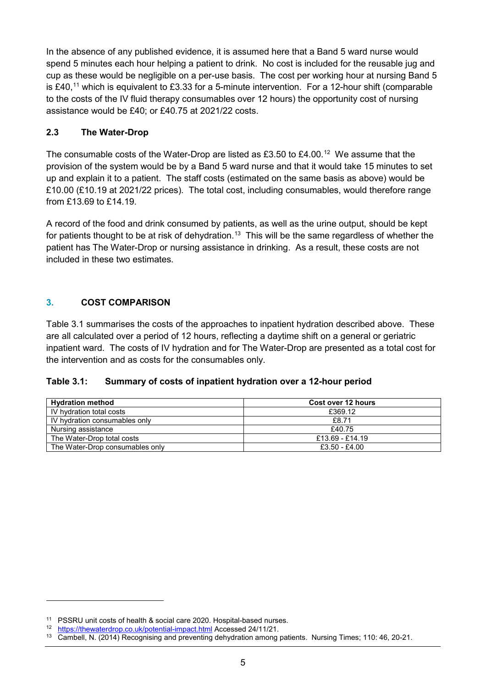In the absence of any published evidence, it is assumed here that a Band 5 ward nurse would spend 5 minutes each hour helping a patient to drink. No cost is included for the reusable jug and cup as these would be negligible on a per-use basis. The cost per working hour at nursing Band 5 is £40,<sup>[11](#page-4-0)</sup> which is equivalent to £3.33 for a 5-minute intervention. For a 12-hour shift (comparable to the costs of the IV fluid therapy consumables over 12 hours) the opportunity cost of nursing assistance would be £40; or £40.75 at 2021/22 costs.

## **2.3 The Water-Drop**

The consumable costs of the Water-Drop are listed as £3.50 to £4.00. $^{12}$  $^{12}$  $^{12}$  We assume that the provision of the system would be by a Band 5 ward nurse and that it would take 15 minutes to set up and explain it to a patient. The staff costs (estimated on the same basis as above) would be £10.00 (£10.19 at 2021/22 prices). The total cost, including consumables, would therefore range from £13.69 to £14.19.

A record of the food and drink consumed by patients, as well as the urine output, should be kept for patients thought to be at risk of dehydration.<sup>[13](#page-4-2)</sup> This will be the same regardless of whether the patient has The Water-Drop or nursing assistance in drinking. As a result, these costs are not included in these two estimates.

# **3. COST COMPARISON**

Table 3.1 summarises the costs of the approaches to inpatient hydration described above. These are all calculated over a period of 12 hours, reflecting a daytime shift on a general or geriatric inpatient ward. The costs of IV hydration and for The Water-Drop are presented as a total cost for the intervention and as costs for the consumables only.

#### **Table 3.1: Summary of costs of inpatient hydration over a 12-hour period**

| <b>Hydration method</b>         | Cost over 12 hours |  |
|---------------------------------|--------------------|--|
| IV hydration total costs        | £369.12            |  |
| IV hydration consumables only   | £8.71              |  |
| Nursing assistance              | £40.75             |  |
| The Water-Drop total costs      | £13.69 - £14.19    |  |
| The Water-Drop consumables only | £3.50 - £4.00      |  |

-

<span id="page-4-0"></span><sup>11</sup> PSSRU unit costs of health & social care 2020. Hospital-based nurses.

<span id="page-4-1"></span><sup>12</sup> <https://thewaterdrop.co.uk/potential-impact.html> Accessed 24/11/21.

<span id="page-4-2"></span><sup>13</sup> Cambell, N. (2014) Recognising and preventing dehydration among patients. Nursing Times; 110: 46, 20-21.